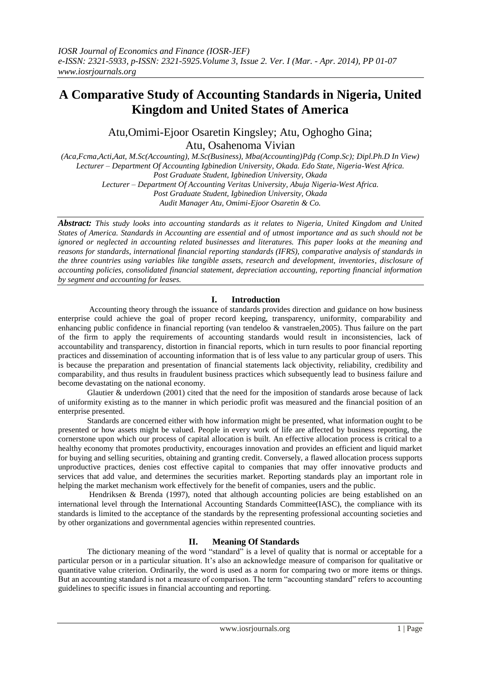# **A Comparative Study of Accounting Standards in Nigeria, United Kingdom and United States of America**

Atu,Omimi-Ejoor Osaretin Kingsley; Atu, Oghogho Gina; Atu, Osahenoma Vivian

*(Aca,Fcma,Acti,Aat, M.Sc(Accounting), M.Sc(Business), Mba(Accounting)Pdg (Comp.Sc); Dipl.Ph.D In View) Lecturer – Department Of Accounting Igbinedion University, Okada. Edo State, Nigeria-West Africa. Post Graduate Student, Igbinedion University, Okada Lecturer – Department Of Accounting Veritas University, Abuja Nigeria-West Africa.*

*Post Graduate Student, Igbinedion University, Okada*

*Audit Manager Atu, Omimi-Ejoor Osaretin & Co.*

*Abstract: This study looks into accounting standards as it relates to Nigeria, United Kingdom and United States of America. Standards in Accounting are essential and of utmost importance and as such should not be ignored or neglected in accounting related businesses and literatures. This paper looks at the meaning and reasons for standards, international financial reporting standards (IFRS), comparative analysis of standards in the three countries using variables like tangible assets, research and development, inventories, disclosure of accounting policies, consolidated financial statement, depreciation accounting, reporting financial information by segment and accounting for leases.*

## **I. Introduction**

Accounting theory through the issuance of standards provides direction and guidance on how business enterprise could achieve the goal of proper record keeping, transparency, uniformity, comparability and enhancing public confidence in financial reporting (van tendeloo & vanstraelen,2005). Thus failure on the part of the firm to apply the requirements of accounting standards would result in inconsistencies, lack of accountability and transparency, distortion in financial reports, which in turn results to poor financial reporting practices and dissemination of accounting information that is of less value to any particular group of users. This is because the preparation and presentation of financial statements lack objectivity, reliability, credibility and comparability, and thus results in fraudulent business practices which subsequently lead to business failure and become devastating on the national economy.

Glautier  $\&$  underdown (2001) cited that the need for the imposition of standards arose because of lack of uniformity existing as to the manner in which periodic profit was measured and the financial position of an enterprise presented.

 Standards are concerned either with how information might be presented, what information ought to be presented or how assets might be valued. People in every work of life are affected by business reporting, the cornerstone upon which our process of capital allocation is built. An effective allocation process is critical to a healthy economy that promotes productivity, encourages innovation and provides an efficient and liquid market for buying and selling securities, obtaining and granting credit. Conversely, a flawed allocation process supports unproductive practices, denies cost effective capital to companies that may offer innovative products and services that add value, and determines the securities market. Reporting standards play an important role in helping the market mechanism work effectively for the benefit of companies, users and the public.

 Hendriksen & Brenda (1997), noted that although accounting policies are being established on an international level through the International Accounting Standards Committee(IASC), the compliance with its standards is limited to the acceptance of the standards by the representing professional accounting societies and by other organizations and governmental agencies within represented countries.

## **II. Meaning Of Standards**

The dictionary meaning of the word "standard" is a level of quality that is normal or acceptable for a particular person or in a particular situation. It's also an acknowledge measure of comparison for qualitative or quantitative value criterion. Ordinarily, the word is used as a norm for comparing two or more items or things. But an accounting standard is not a measure of comparison. The term "accounting standard" refers to accounting guidelines to specific issues in financial accounting and reporting.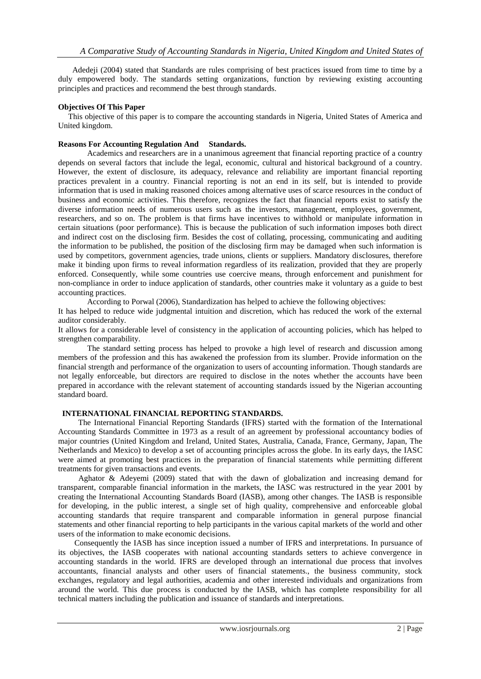Adedeji (2004) stated that Standards are rules comprising of best practices issued from time to time by a duly empowered body. The standards setting organizations, function by reviewing existing accounting principles and practices and recommend the best through standards.

## **Objectives Of This Paper**

 This objective of this paper is to compare the accounting standards in Nigeria, United States of America and United kingdom.

## **Reasons For Accounting Regulation And Standards.**

Academics and researchers are in a unanimous agreement that financial reporting practice of a country depends on several factors that include the legal, economic, cultural and historical background of a country. However, the extent of disclosure, its adequacy, relevance and reliability are important financial reporting practices prevalent in a country. Financial reporting is not an end in its self, but is intended to provide information that is used in making reasoned choices among alternative uses of scarce resources in the conduct of business and economic activities. This therefore, recognizes the fact that financial reports exist to satisfy the diverse information needs of numerous users such as the investors, management, employees, government, researchers, and so on. The problem is that firms have incentives to withhold or manipulate information in certain situations (poor performance). This is because the publication of such information imposes both direct and indirect cost on the disclosing firm. Besides the cost of collating, processing, communicating and auditing the information to be published, the position of the disclosing firm may be damaged when such information is used by competitors, government agencies, trade unions, clients or suppliers. Mandatory disclosures, therefore make it binding upon firms to reveal information regardless of its realization, provided that they are properly enforced. Consequently, while some countries use coercive means, through enforcement and punishment for non-compliance in order to induce application of standards, other countries make it voluntary as a guide to best accounting practices.

According to Porwal (2006), Standardization has helped to achieve the following objectives:

It has helped to reduce wide judgmental intuition and discretion, which has reduced the work of the external auditor considerably.

It allows for a considerable level of consistency in the application of accounting policies, which has helped to strengthen comparability.

The standard setting process has helped to provoke a high level of research and discussion among members of the profession and this has awakened the profession from its slumber. Provide information on the financial strength and performance of the organization to users of accounting information. Though standards are not legally enforceable, but directors are required to disclose in the notes whether the accounts have been prepared in accordance with the relevant statement of accounting standards issued by the Nigerian accounting standard board.

## **INTERNATIONAL FINANCIAL REPORTING STANDARDS.**

 The International Financial Reporting Standards (IFRS) started with the formation of the International Accounting Standards Committee in 1973 as a result of an agreement by professional accountancy bodies of major countries (United Kingdom and Ireland, United States, Australia, Canada, France, Germany, Japan, The Netherlands and Mexico) to develop a set of accounting principles across the globe. In its early days, the IASC were aimed at promoting best practices in the preparation of financial statements while permitting different treatments for given transactions and events.

 Aghator & Adeyemi (2009) stated that with the dawn of globalization and increasing demand for transparent, comparable financial information in the markets, the IASC was restructured in the year 2001 by creating the International Accounting Standards Board (IASB), among other changes. The IASB is responsible for developing, in the public interest, a single set of high quality, comprehensive and enforceable global accounting standards that require transparent and comparable information in general purpose financial statements and other financial reporting to help participants in the various capital markets of the world and other users of the information to make economic decisions.

 Consequently the IASB has since inception issued a number of IFRS and interpretations. In pursuance of its objectives, the IASB cooperates with national accounting standards setters to achieve convergence in accounting standards in the world. IFRS are developed through an international due process that involves accountants, financial analysts and other users of financial statements., the business community, stock exchanges, regulatory and legal authorities, academia and other interested individuals and organizations from around the world. This due process is conducted by the IASB, which has complete responsibility for all technical matters including the publication and issuance of standards and interpretations.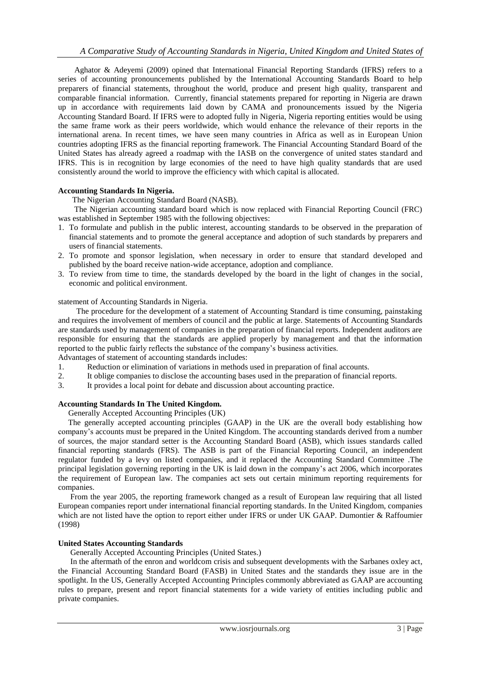Aghator & Adeyemi (2009) opined that International Financial Reporting Standards (IFRS) refers to a series of accounting pronouncements published by the International Accounting Standards Board to help preparers of financial statements, throughout the world, produce and present high quality, transparent and comparable financial information. Currently, financial statements prepared for reporting in Nigeria are drawn up in accordance with requirements laid down by CAMA and pronouncements issued by the Nigeria Accounting Standard Board. If IFRS were to adopted fully in Nigeria, Nigeria reporting entities would be using the same frame work as their peers worldwide, which would enhance the relevance of their reports in the international arena. In recent times, we have seen many countries in Africa as well as in European Union countries adopting IFRS as the financial reporting framework. The Financial Accounting Standard Board of the United States has already agreed a roadmap with the IASB on the convergence of united states standard and IFRS. This is in recognition by large economies of the need to have high quality standards that are used consistently around the world to improve the efficiency with which capital is allocated.

### **Accounting Standards In Nigeria.**

The Nigerian Accounting Standard Board (NASB).

 The Nigerian accounting standard board which is now replaced with Financial Reporting Council (FRC) was established in September 1985 with the following objectives:

- 1. To formulate and publish in the public interest, accounting standards to be observed in the preparation of financial statements and to promote the general acceptance and adoption of such standards by preparers and users of financial statements.
- 2. To promote and sponsor legislation, when necessary in order to ensure that standard developed and published by the board receive nation-wide acceptance, adoption and compliance.
- 3. To review from time to time, the standards developed by the board in the light of changes in the social, economic and political environment.

statement of Accounting Standards in Nigeria.

 The procedure for the development of a statement of Accounting Standard is time consuming, painstaking and requires the involvement of members of council and the public at large. Statements of Accounting Standards are standards used by management of companies in the preparation of financial reports. Independent auditors are responsible for ensuring that the standards are applied properly by management and that the information reported to the public fairly reflects the substance of the company's business activities.

Advantages of statement of accounting standards includes:

- 1. Reduction or elimination of variations in methods used in preparation of final accounts.
- 2. It oblige companies to disclose the accounting bases used in the preparation of financial reports.
- 3. It provides a local point for debate and discussion about accounting practice.

#### **Accounting Standards In The United Kingdom.**

Generally Accepted Accounting Principles (UK)

 The generally accepted accounting principles (GAAP) in the UK are the overall body establishing how company's accounts must be prepared in the United Kingdom. The accounting standards derived from a number of sources, the major standard setter is the Accounting Standard Board (ASB), which issues standards called financial reporting standards (FRS). The ASB is part of the Financial Reporting Council, an independent regulator funded by a levy on listed companies, and it replaced the Accounting Standard Committee .The principal legislation governing reporting in the UK is laid down in the company's act 2006, which incorporates the requirement of European law. The companies act sets out certain minimum reporting requirements for companies.

 From the year 2005, the reporting framework changed as a result of European law requiring that all listed European companies report under international financial reporting standards. In the United Kingdom, companies which are not listed have the option to report either under IFRS or under UK GAAP. Dumontier & Raffoumier (1998)

#### **United States Accounting Standards**

Generally Accepted Accounting Principles (United States.)

 In the aftermath of the enron and worldcom crisis and subsequent developments with the Sarbanes oxley act, the Financial Accounting Standard Board (FASB) in United States and the standards they issue are in the spotlight. In the US, Generally Accepted Accounting Principles commonly abbreviated as GAAP are accounting rules to prepare, present and report financial statements for a wide variety of entities including public and private companies.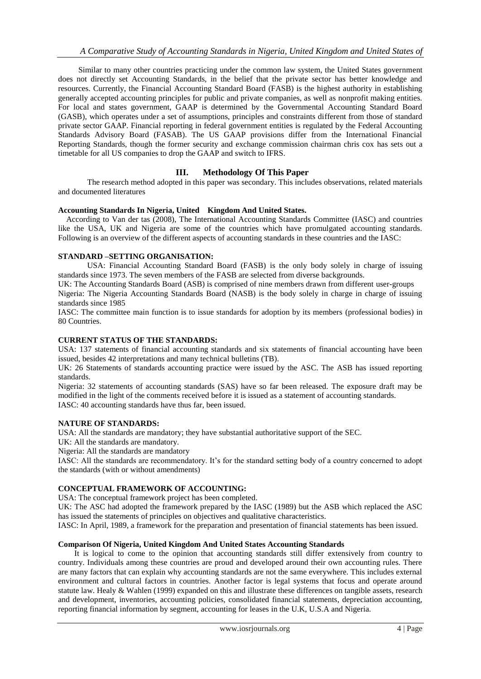Similar to many other countries practicing under the common law system, the United States government does not directly set Accounting Standards, in the belief that the private sector has better knowledge and resources. Currently, the Financial Accounting Standard Board (FASB) is the highest authority in establishing generally accepted accounting principles for public and private companies, as well as nonprofit making entities. For local and states government, GAAP is determined by the Governmental Accounting Standard Board (GASB), which operates under a set of assumptions, principles and constraints different from those of standard private sector GAAP. Financial reporting in federal government entities is regulated by the Federal Accounting Standards Advisory Board (FASAB). The US GAAP provisions differ from the International Financial Reporting Standards, though the former security and exchange commission chairman chris cox has sets out a timetable for all US companies to drop the GAAP and switch to IFRS.

## **III. Methodology Of This Paper**

The research method adopted in this paper was secondary. This includes observations, related materials and documented literatures

### **Accounting Standards In Nigeria, United Kingdom And United States.**

 According to Van der tas (2008), The International Accounting Standards Committee (IASC) and countries like the USA, UK and Nigeria are some of the countries which have promulgated accounting standards. Following is an overview of the different aspects of accounting standards in these countries and the IASC:

### **STANDARD –SETTING ORGANISATION:**

USA: Financial Accounting Standard Board (FASB) is the only body solely in charge of issuing standards since 1973. The seven members of the FASB are selected from diverse backgrounds.

UK: The Accounting Standards Board (ASB) is comprised of nine members drawn from different user-groups Nigeria: The Nigeria Accounting Standards Board (NASB) is the body solely in charge in charge of issuing standards since 1985

IASC: The committee main function is to issue standards for adoption by its members (professional bodies) in 80 Countries.

## **CURRENT STATUS OF THE STANDARDS:**

USA: 137 statements of financial accounting standards and six statements of financial accounting have been issued, besides 42 interpretations and many technical bulletins (TB).

UK: 26 Statements of standards accounting practice were issued by the ASC. The ASB has issued reporting standards.

Nigeria: 32 statements of accounting standards (SAS) have so far been released. The exposure draft may be modified in the light of the comments received before it is issued as a statement of accounting standards. IASC: 40 accounting standards have thus far, been issued.

#### **NATURE OF STANDARDS:**

USA: All the standards are mandatory; they have substantial authoritative support of the SEC.

UK: All the standards are mandatory.

Nigeria: All the standards are mandatory

IASC: All the standards are recommendatory. It's for the standard setting body of a country concerned to adopt the standards (with or without amendments)

#### **CONCEPTUAL FRAMEWORK OF ACCOUNTING:**

USA: The conceptual framework project has been completed.

UK: The ASC had adopted the framework prepared by the IASC (1989) but the ASB which replaced the ASC has issued the statements of principles on objectives and qualitative characteristics.

IASC: In April, 1989, a framework for the preparation and presentation of financial statements has been issued.

#### **Comparison Of Nigeria, United Kingdom And United States Accounting Standards**

It is logical to come to the opinion that accounting standards still differ extensively from country to country. Individuals among these countries are proud and developed around their own accounting rules. There are many factors that can explain why accounting standards are not the same everywhere. This includes external environment and cultural factors in countries. Another factor is legal systems that focus and operate around statute law. Healy & Wahlen (1999) expanded on this and illustrate these differences on tangible assets, research and development, inventories, accounting policies, consolidated financial statements, depreciation accounting, reporting financial information by segment, accounting for leases in the U.K, U.S.A and Nigeria.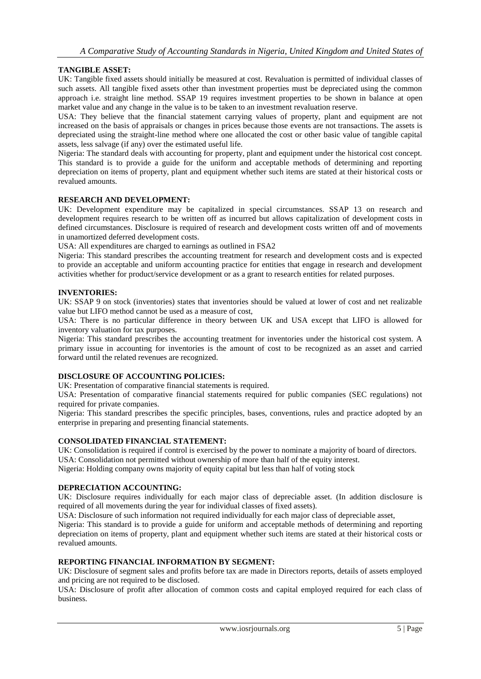## **TANGIBLE ASSET:**

UK: Tangible fixed assets should initially be measured at cost. Revaluation is permitted of individual classes of such assets. All tangible fixed assets other than investment properties must be depreciated using the common approach i.e. straight line method. SSAP 19 requires investment properties to be shown in balance at open market value and any change in the value is to be taken to an investment revaluation reserve.

USA: They believe that the financial statement carrying values of property, plant and equipment are not increased on the basis of appraisals or changes in prices because those events are not transactions. The assets is depreciated using the straight-line method where one allocated the cost or other basic value of tangible capital assets, less salvage (if any) over the estimated useful life.

Nigeria: The standard deals with accounting for property, plant and equipment under the historical cost concept. This standard is to provide a guide for the uniform and acceptable methods of determining and reporting depreciation on items of property, plant and equipment whether such items are stated at their historical costs or revalued amounts.

#### **RESEARCH AND DEVELOPMENT:**

UK: Development expenditure may be capitalized in special circumstances. SSAP 13 on research and development requires research to be written off as incurred but allows capitalization of development costs in defined circumstances. Disclosure is required of research and development costs written off and of movements in unamortized deferred development costs.

USA: All expenditures are charged to earnings as outlined in FSA2

Nigeria: This standard prescribes the accounting treatment for research and development costs and is expected to provide an acceptable and uniform accounting practice for entities that engage in research and development activities whether for product/service development or as a grant to research entities for related purposes.

#### **INVENTORIES:**

UK: SSAP 9 on stock (inventories) states that inventories should be valued at lower of cost and net realizable value but LIFO method cannot be used as a measure of cost,

USA: There is no particular difference in theory between UK and USA except that LIFO is allowed for inventory valuation for tax purposes.

Nigeria: This standard prescribes the accounting treatment for inventories under the historical cost system. A primary issue in accounting for inventories is the amount of cost to be recognized as an asset and carried forward until the related revenues are recognized.

#### **DISCLOSURE OF ACCOUNTING POLICIES:**

UK: Presentation of comparative financial statements is required.

USA: Presentation of comparative financial statements required for public companies (SEC regulations) not required for private companies.

Nigeria: This standard prescribes the specific principles, bases, conventions, rules and practice adopted by an enterprise in preparing and presenting financial statements.

#### **CONSOLIDATED FINANCIAL STATEMENT:**

UK: Consolidation is required if control is exercised by the power to nominate a majority of board of directors. USA: Consolidation not permitted without ownership of more than half of the equity interest.

Nigeria: Holding company owns majority of equity capital but less than half of voting stock

#### **DEPRECIATION ACCOUNTING:**

UK: Disclosure requires individually for each major class of depreciable asset. (In addition disclosure is required of all movements during the year for individual classes of fixed assets).

USA: Disclosure of such information not required individually for each major class of depreciable asset,

Nigeria: This standard is to provide a guide for uniform and acceptable methods of determining and reporting depreciation on items of property, plant and equipment whether such items are stated at their historical costs or revalued amounts.

## **REPORTING FINANCIAL INFORMATION BY SEGMENT:**

UK: Disclosure of segment sales and profits before tax are made in Directors reports, details of assets employed and pricing are not required to be disclosed.

USA: Disclosure of profit after allocation of common costs and capital employed required for each class of business.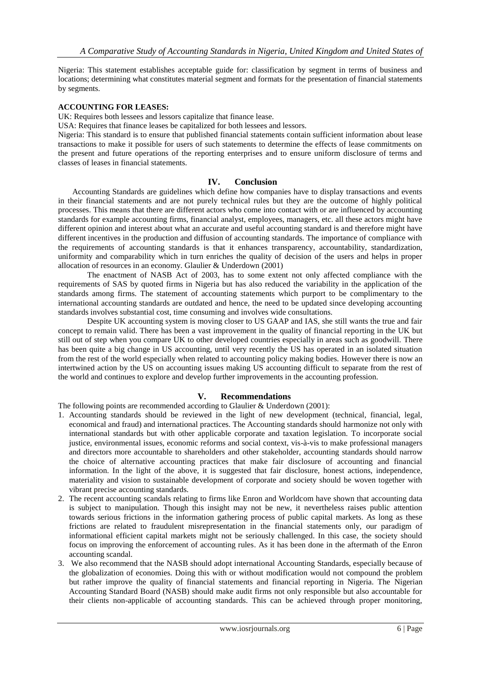Nigeria: This statement establishes acceptable guide for: classification by segment in terms of business and locations; determining what constitutes material segment and formats for the presentation of financial statements by segments.

## **ACCOUNTING FOR LEASES:**

UK: Requires both lessees and lessors capitalize that finance lease.

USA: Requires that finance leases be capitalized for both lessees and lessors.

Nigeria: This standard is to ensure that published financial statements contain sufficient information about lease transactions to make it possible for users of such statements to determine the effects of lease commitments on the present and future operations of the reporting enterprises and to ensure uniform disclosure of terms and classes of leases in financial statements.

### **IV. Conclusion**

 Accounting Standards are guidelines which define how companies have to display transactions and events in their financial statements and are not purely technical rules but they are the outcome of highly political processes. This means that there are different actors who come into contact with or are influenced by accounting standards for example accounting firms, financial analyst, employees, managers, etc. all these actors might have different opinion and interest about what an accurate and useful accounting standard is and therefore might have different incentives in the production and diffusion of accounting standards. The importance of compliance with the requirements of accounting standards is that it enhances transparency, accountability, standardization, uniformity and comparability which in turn enriches the quality of decision of the users and helps in proper allocation of resources in an economy. Glaulier & Underdown (2001)

The enactment of NASB Act of 2003, has to some extent not only affected compliance with the requirements of SAS by quoted firms in Nigeria but has also reduced the variability in the application of the standards among firms. The statement of accounting statements which purport to be complimentary to the international accounting standards are outdated and hence, the need to be updated since developing accounting standards involves substantial cost, time consuming and involves wide consultations.

Despite UK accounting system is moving closer to US GAAP and IAS, she still wants the true and fair concept to remain valid. There has been a vast improvement in the quality of financial reporting in the UK but still out of step when you compare UK to other developed countries especially in areas such as goodwill. There has been quite a big change in US accounting, until very recently the US has operated in an isolated situation from the rest of the world especially when related to accounting policy making bodies. However there is now an intertwined action by the US on accounting issues making US accounting difficult to separate from the rest of the world and continues to explore and develop further improvements in the accounting profession.

## **V. Recommendations**

The following points are recommended according to Glaulier & Underdown (2001):

- 1. Accounting standards should be reviewed in the light of new development (technical, financial, legal, economical and fraud) and international practices. The Accounting standards should harmonize not only with international standards but with other applicable corporate and taxation legislation. To incorporate social justice, environmental issues, economic reforms and social context, vis-à-vis to make professional managers and directors more accountable to shareholders and other stakeholder, accounting standards should narrow the choice of alternative accounting practices that make fair disclosure of accounting and financial information. In the light of the above, it is suggested that fair disclosure, honest actions, independence, materiality and vision to sustainable development of corporate and society should be woven together with vibrant precise accounting standards.
- 2. The recent accounting scandals relating to firms like Enron and Worldcom have shown that accounting data is subject to manipulation. Though this insight may not be new, it nevertheless raises public attention towards serious frictions in the information gathering process of public capital markets. As long as these frictions are related to fraudulent misrepresentation in the financial statements only, our paradigm of informational efficient capital markets might not be seriously challenged. In this case, the society should focus on improving the enforcement of accounting rules. As it has been done in the aftermath of the Enron accounting scandal.
- 3. We also recommend that the NASB should adopt international Accounting Standards, especially because of the globalization of economies. Doing this with or without modification would not compound the problem but rather improve the quality of financial statements and financial reporting in Nigeria. The Nigerian Accounting Standard Board (NASB) should make audit firms not only responsible but also accountable for their clients non-applicable of accounting standards. This can be achieved through proper monitoring,